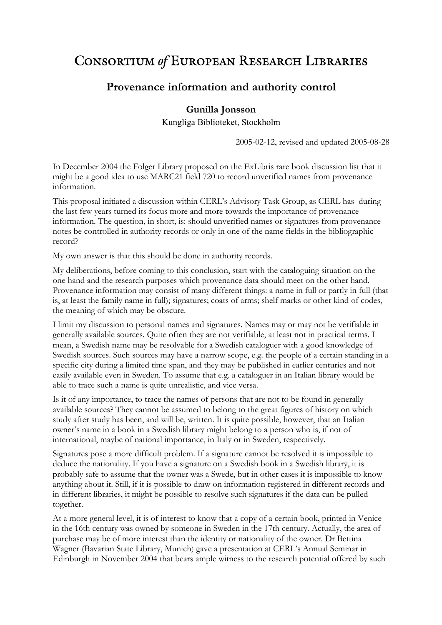# **CONSORTIUM of EUROPEAN RESEARCH LIBRARIES**

## **Provenance information and authority control**

## **Gunilla Jonsson**

Kungliga Biblioteket, Stockholm

2005-02-12, revised and updated 2005-08-28

In December 2004 the Folger Library proposed on the ExLibris rare book discussion list that it might be a good idea to use MARC21 field 720 to record unverified names from provenance information.

This proposal initiated a discussion within CERL's Advisory Task Group, as CERL has during the last few years turned its focus more and more towards the importance of provenance information. The question, in short, is: should unverified names or signatures from provenance notes be controlled in authority records or only in one of the name fields in the bibliographic record?

My own answer is that this should be done in authority records.

My deliberations, before coming to this conclusion, start with the cataloguing situation on the one hand and the research purposes which provenance data should meet on the other hand. Provenance information may consist of many different things: a name in full or partly in full (that is, at least the family name in full); signatures; coats of arms; shelf marks or other kind of codes, the meaning of which may be obscure.

I limit my discussion to personal names and signatures. Names may or may not be verifiable in generally available sources. Quite often they are not verifiable, at least not in practical terms. I mean, a Swedish name may be resolvable for a Swedish cataloguer with a good knowledge of Swedish sources. Such sources may have a narrow scope, e.g. the people of a certain standing in a specific city during a limited time span, and they may be published in earlier centuries and not easily available even in Sweden. To assume that e.g. a cataloguer in an Italian library would be able to trace such a name is quite unrealistic, and vice versa.

Is it of any importance, to trace the names of persons that are not to be found in generally available sources? They cannot be assumed to belong to the great figures of history on which study after study has been, and will be, written. It is quite possible, however, that an Italian owner's name in a book in a Swedish library might belong to a person who is, if not of international, maybe of national importance, in Italy or in Sweden, respectively.

Signatures pose a more difficult problem. If a signature cannot be resolved it is impossible to deduce the nationality. If you have a signature on a Swedish book in a Swedish library, it is probably safe to assume that the owner was a Swede, but in other cases it is impossible to know anything about it. Still, if it is possible to draw on information registered in different records and in different libraries, it might be possible to resolve such signatures if the data can be pulled together.

At a more general level, it is of interest to know that a copy of a certain book, printed in Venice in the 16th century was owned by someone in Sweden in the 17th century. Actually, the area of purchase may be of more interest than the identity or nationality of the owner. Dr Bettina Wagner (Bavarian State Library, Munich) gave a presentation at CERL's Annual Seminar in Edinburgh in November 2004 that bears ample witness to the research potential offered by such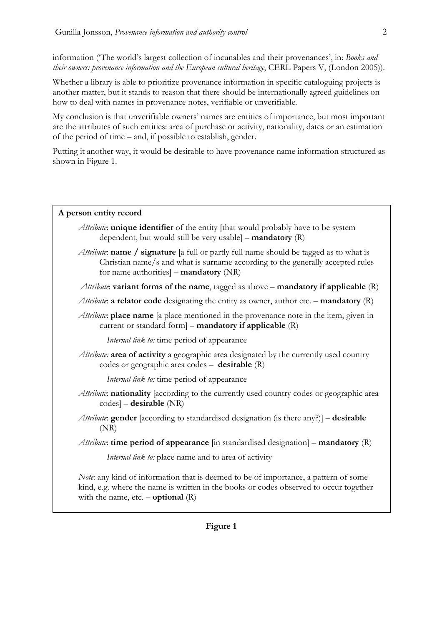information ('The world's largest collection of incunables and their provenances', in: *Books and their owners: provenance information and the European cultural heritage*, CERL Papers V, (London 2005)).

Whether a library is able to prioritize provenance information in specific cataloguing projects is another matter, but it stands to reason that there should be internationally agreed guidelines on how to deal with names in provenance notes, verifiable or unverifiable.

My conclusion is that unverifiable owners' names are entities of importance, but most important are the attributes of such entities: area of purchase or activity, nationality, dates or an estimation of the period of time – and, if possible to establish, gender.

Putting it another way, it would be desirable to have provenance name information structured as shown in Figure 1.

#### **A person entity record**

- *Attribute*: **unique identifier** of the entity [that would probably have to be system dependent, but would still be very usable] – **mandatory** (R)
- *Attribute*: **name / signature** [a full or partly full name should be tagged as to what is Christian name/s and what is surname according to the generally accepted rules for name authorities] – **mandatory** (NR)

*Attribute*: **variant forms of the name**, tagged as above – **mandatory if applicable** (R)

- *Attribute*: **a relator code** designating the entity as owner, author etc. **mandatory** (R)
- *Attribute*: **place name** [a place mentioned in the provenance note in the item, given in current or standard form] – **mandatory if applicable** (R)

*Internal link to:* time period of appearance

*Attribute:* **area of activity** a geographic area designated by the currently used country codes or geographic area codes – **desirable** (R)

*Internal link to:* time period of appearance

- *Attribute*: **nationality** [according to the currently used country codes or geographic area codes] – **desirable** (NR)
- *Attribute*: **gender** [according to standardised designation (is there any?)] **desirable**  (NR)

*Attribute*: **time period of appearance** [in standardised designation] – **mandatory** (R)

*Internal link to:* place name and to area of activity

*Note*: any kind of information that is deemed to be of importance, a pattern of some kind, e.g. where the name is written in the books or codes observed to occur together with the name,  $etc. -$ **optional**  $(R)$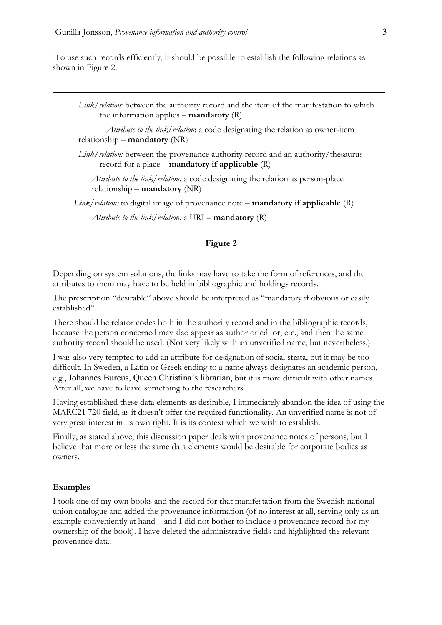To use such records efficiently, it should be possible to establish the following relations as shown in Figure 2.

*Link/relation*: between the authority record and the item of the manifestation to which the information applies – **mandatory** (R)

*Attribute to the link/relation*: a code designating the relation as owner-item relationship – **mandatory** (NR)

*Link/relation:* between the provenance authority record and an authority/thesaurus record for a place – **mandatory if applicable** (R)

*Attribute to the link/relation:* a code designating the relation as person-place relationship – **mandatory** (NR)

 *Link/relation:* to digital image of provenance note – **mandatory if applicable** (R)

*Attribute to the link/relation:* a URI – **mandatory** (R)

## **Figure 2**

Depending on system solutions, the links may have to take the form of references, and the attributes to them may have to be held in bibliographic and holdings records.

The prescription "desirable" above should be interpreted as "mandatory if obvious or easily established".

There should be relator codes both in the authority record and in the bibliographic records, because the person concerned may also appear as author or editor, etc., and then the same authority record should be used. (Not very likely with an unverified name, but nevertheless.)

I was also very tempted to add an attribute for designation of social strata, but it may be too difficult. In Sweden, a Latin or Greek ending to a name always designates an academic person, e.g., Johannes Bureus, Queen Christina's librarian, but it is more difficult with other names. After all, we have to leave something to the researchers.

Having established these data elements as desirable, I immediately abandon the idea of using the MARC21 720 field, as it doesn't offer the required functionality. An unverified name is not of very great interest in its own right. It is its context which we wish to establish.

Finally, as stated above, this discussion paper deals with provenance notes of persons, but I believe that more or less the same data elements would be desirable for corporate bodies as owners.

#### **Examples**

I took one of my own books and the record for that manifestation from the Swedish national union catalogue and added the provenance information (of no interest at all, serving only as an example conveniently at hand – and I did not bother to include a provenance record for my ownership of the book). I have deleted the administrative fields and highlighted the relevant provenance data.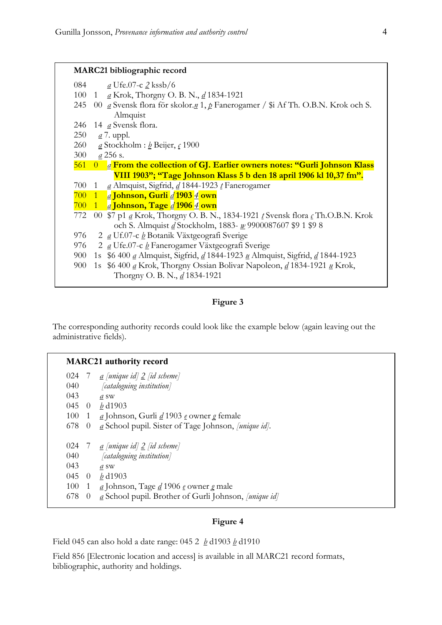## **MARC21 bibliographic record**

| 084 | $\underline{a}$ Ufe.07-c $\underline{2}$ kssb/6 |  |
|-----|-------------------------------------------------|--|
|-----|-------------------------------------------------|--|

- 100 1 *a* Krok, Thorgny O. B. N., *d* 1834-1921
- 245 00 *a* Svensk flora för skolor.*n* 1, *p* Fanerogamer / \$i Af Th. O.B.N. Krok och S. Almquist
- 246 14 *a* Svensk flora.
- 250 *a* 7. uppl.
- 260 *a* Stockholm : *b* Beijer, *c* 1900
- 300 *a* 256 s.
- 561 0 *a* **From the collection of GJ. Earlier owners notes: "Gurli Johnson Klass VIII 1903"; "Tage Johnson Klass 5 b den 18 april 1906 kl 10,37 fm".**
- 700 1 *a* Almquist, Sigfrid, *d* 1844-1923 *t* Fanerogamer
- 700 1 *a* **Johnson, Gurli** *d* **1903** *4* **own**
- 700 1 *a* **Johnson, Tage** *d* **1906** *4* **own**
- 772 00 \$7 p1 *a* Krok, Thorgny O. B. N., 1834-1921 *t* Svensk flora *c* Th.O.B.N. Krok och S. Almquist *d* Stockholm, 1883- *w* 9900087607 \$9 1 \$9 8
- 976 2 *a* Uf.07-c *b* Botanik Växtgeografi Sverige
- 976 2 *a* Ufe.07-c *b* Fanerogamer Växtgeografi Sverige
- 900 1s \$6 400 *a* Almquist, Sigfrid, *d* 1844-1923 *u* Almquist, Sigfrid, *d* 1844-1923
- 900 1s \$6 400 *a* Krok, Thorgny Ossian Bolivar Napoleon, *d* 1834-1921 *u* Krok, Thorgny O. B. N., *d* 1834-1921

## **Figure 3**

The corresponding authority records could look like the example below (again leaving out the administrative fields).

## **MARC21 authority record**

| 024 |          | $\frac{a}{a}$ [unique id] $\frac{2}{a}$ [id scheme]                                           |
|-----|----------|-----------------------------------------------------------------------------------------------|
| 040 |          | [cataloguing institution]                                                                     |
| 043 |          | a sw                                                                                          |
| 045 | $\theta$ | $b$ d1903                                                                                     |
| 100 | 1        | <u>a</u> Johnson, Gurli <u>d</u> 1903 e owner g female                                        |
| 678 | $\theta$ | a School pupil. Sister of Tage Johnson, [unique id].                                          |
|     |          |                                                                                               |
|     |          |                                                                                               |
| 024 |          | $\alpha$ [unique id] $\geq$ [id scheme]                                                       |
| 040 |          | [cataloguing institution]                                                                     |
| 043 |          | a sw                                                                                          |
| 045 | $\theta$ | $b$ d1903                                                                                     |
| 100 | 1        | $\underline{a}$ Johnson, Tage $\underline{d}$ 1906 $\underline{e}$ owner $\underline{g}$ male |

## **Figure 4**

Field 045 can also hold a date range: 045 2 *b* d1903 *b* d1910

Field 856 [Electronic location and access] is available in all MARC21 record formats, bibliographic, authority and holdings.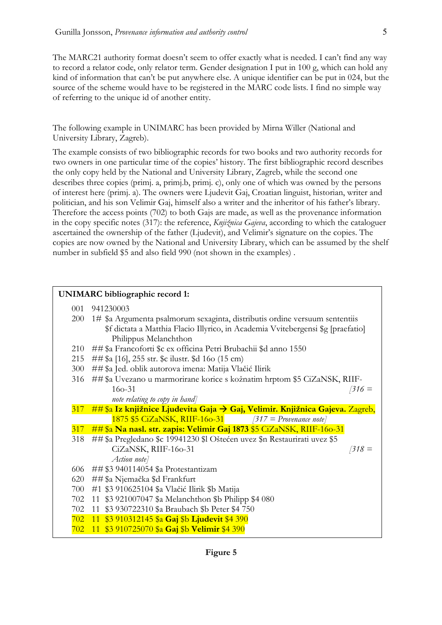The MARC21 authority format doesn't seem to offer exactly what is needed. I can't find any way to record a relator code, only relator term. Gender designation I put in 100 g, which can hold any kind of information that can't be put anywhere else. A unique identifier can be put in 024, but the source of the scheme would have to be registered in the MARC code lists. I find no simple way of referring to the unique id of another entity.

The following example in UNIMARC has been provided by Mirna Willer (National and University Library, Zagreb).

The example consists of two bibliographic records for two books and two authority records for two owners in one particular time of the copies' history. The first bibliographic record describes the only copy held by the National and University Library, Zagreb, while the second one describes three copies (primj. a, primj.b, primj. c), only one of which was owned by the persons of interest here (primj. a). The owners were Ljudevit Gaj, Croatian linguist, historian, writer and politician, and his son Velimir Gaj, himself also a writer and the inheritor of his father's library. Therefore the access points (702) to both Gajs are made, as well as the provenance information in the copy specific notes (317): the reference, *Knjižnica Gajeva*, according to which the cataloguer ascertained the ownership of the father (Ljudevit), and Velimir's signature on the copies. The copies are now owned by the National and University Library, which can be assumed by the shelf number in subfield \$5 and also field 990 (not shown in the examples) .

| <b>UNIMARC</b> bibliographic record 1: |                                                                                              |  |
|----------------------------------------|----------------------------------------------------------------------------------------------|--|
| 001                                    | 941230003                                                                                    |  |
| 200                                    | 1# \$a Argumenta psalmorum sexaginta, distributis ordine versuum sententiis                  |  |
|                                        | \$f dictata a Matthia Flacio Illyrico, in Academia Vvitebergensi \$g [praefatio]             |  |
|                                        | Philippus Melanchthon                                                                        |  |
| 210                                    | ##\$a Francoforti \$c ex officina Petri Brubachii \$d anno 1550                              |  |
| 215                                    | ##\$a [16], 255 str. \$c ilustr. \$d 16o (15 cm)                                             |  |
| 300                                    | ##\$a Jed. oblik autorova imena: Matija Vlačić Ilirik                                        |  |
| 316                                    | ##\$a Uvezano u marmorirane korice s kožnatim hrptom \$5 CiZaNSK, RIIF-                      |  |
|                                        | $160 - 31$<br>$316 =$                                                                        |  |
|                                        | note relating to copy in hand                                                                |  |
| 317                                    | $\#$ # \$a Iz knjižnice Ljudevita Gaja $\rightarrow$ Gaj, Velimir. Knjižnica Gajeva. Zagreb, |  |
|                                        | $1875$ \$5 CiZaNSK, RIIF-160-31 [317 = Provenance note]                                      |  |
|                                        | 317 ##\$a Na nasl. str. zapis: Velimir Gaj 1873 \$5 CiZaNSK, RIIF-160-31                     |  |
| 318                                    | ##\$a Pregledano \$c 19941230 \$l Oštećen uvez \$n Restaurirati uvez \$5                     |  |
|                                        | CiZaNSK, RIIF-160-31<br>$318 =$                                                              |  |
|                                        | Action note]                                                                                 |  |
| 606                                    | ##\$3 940114054 \$a Protestantizam                                                           |  |
| 620                                    | ##\$a Njemačka \$d Frankfurt                                                                 |  |
| 700                                    | #1 \$3 910625104 \$a Vlačić Ilirik \$b Matija                                                |  |
| 702                                    | 11 \$3 921007047 \$a Melanchthon \$b Philipp \$4 080                                         |  |
| 702                                    | 11 \$3 930722310 \$a Braubach \$b Peter \$4 750                                              |  |
| 702                                    | 11 \$3 910312145 \$a Gaj \$b Ljudevit \$4 390                                                |  |
| 702                                    | 11 \$3 910725070 \$a Gaj \$b Velimir \$4 390                                                 |  |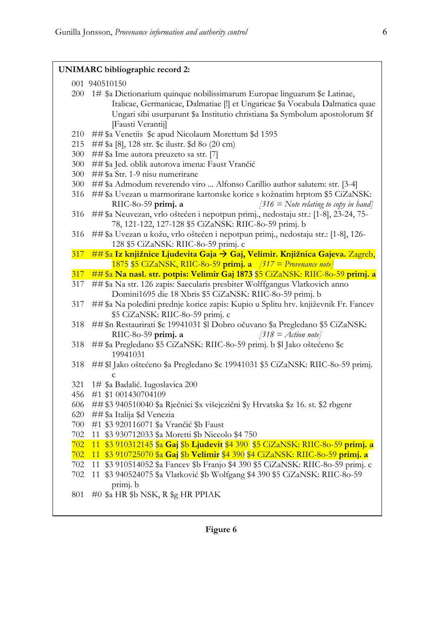|     | <b>UNIMARC</b> bibliographic record 2:                                                                                                                                                                                                                              |
|-----|---------------------------------------------------------------------------------------------------------------------------------------------------------------------------------------------------------------------------------------------------------------------|
|     | 001 940510150                                                                                                                                                                                                                                                       |
|     | 200 1# \$a Dictionarium quinque nobilissimarum Europae linguarum \$e Latinae,<br>Italicae, Germanicae, Dalmatiae [!] et Ungaricae \$a Vocabula Dalmatica quae<br>Ungari sibi usurparunt \$a Institutio christiana \$a Symbolum apostolorum \$f<br>[Fausti Verantij] |
| 210 | ##\$a Venetiis \$c apud Nicolaum Morettum \$d 1595                                                                                                                                                                                                                  |
| 215 | ##\$a [8], 128 str. \$c ilustr. \$d 8o (20 cm)                                                                                                                                                                                                                      |
| 300 | ##\$a Ime autora preuzeto sa str. [7]                                                                                                                                                                                                                               |
| 300 | ##\$a Jed. oblik autorova imena: Faust Vrančić                                                                                                                                                                                                                      |
| 300 | ##\$a Str. 1-9 nisu numerirane                                                                                                                                                                                                                                      |
| 300 | ##\$a Admodum reverendo viro  Alfonso Carillio author salutem: str. [3-4]                                                                                                                                                                                           |
| 316 | ##\$a Uvezan u marmorirane kartonske korice s kožnatim hrptom \$5 CiZaNSK:                                                                                                                                                                                          |
|     | [316 = Note relating to copy in hand]<br>RIIC-80-59 primj. a                                                                                                                                                                                                        |
| 316 | ##\$a Neuvezan, vrlo oštećen i nepotpun primj., nedostaju str.: [1-8], 23-24, 75-<br>78, 121-122, 127-128 \$5 CiZaNSK: RIIC-80-59 primj. b                                                                                                                          |
| 316 | ##\$a Uvezan u kožu, vrlo oštećen i nepotpun primj., nedostaju str.: [1-8], 126-                                                                                                                                                                                    |
|     | 128 \$5 CiZaNSK: RIIC-80-59 primj. c                                                                                                                                                                                                                                |
|     | 317 ##\$a Iz knjižnice Ljudevita Gaja > Gaj, Velimir. Knjižnica Gajeva. Zagreb,                                                                                                                                                                                     |
|     | $1875$ \$5 GiZaNSK, RIIC-80-59 primj. a $\sqrt{317}$ = Provenance note]                                                                                                                                                                                             |
| 317 | ##\$a Na nasl. str. potpis: Velimir Gaj 1873 \$5 CiZaNSK: RIIC-80-59 primj. a                                                                                                                                                                                       |
| 317 | ##\$a Na str. 126 zapis: Saecularis presbiter Wolffgangus Vlatkovich anno<br>Domini1695 die 18 Xbris \$5 CiZaNSK: RIIC-80-59 primj. b                                                                                                                               |
| 317 | ##\$a Na poleđini prednje korice zapis: Kupio u Splitu hrv. književnik Fr. Fancev<br>\$5 CiZaNSK: RIIC-80-59 primj. c                                                                                                                                               |
| 318 | ##\$n Restaurirati \$c 19941031 \$l Dobro očuvano \$a Pregledano \$5 CiZaNSK:<br>$[318] = Action note]$<br>RIIC-80-59 primj. a                                                                                                                                      |
| 318 | ##\$a Pregledano \$5 CiZaNSK: RIIC-80-59 primj. b \$l Jako oštećeno \$c<br>19941031                                                                                                                                                                                 |
| 318 | ##\$1 Jako oštećeno \$a Pregledano \$c 19941031 \$5 CiZaNSK: RIIC-80-59 primj.<br>$\mathbf c$                                                                                                                                                                       |
| 321 | 1# \$a Badalić. Iugoslavica 200                                                                                                                                                                                                                                     |
| 456 | #1 \$1 001430704109                                                                                                                                                                                                                                                 |
| 606 | ##\$3 940510040 \$a Rječnici \$x višejezični \$y Hrvatska \$z 16. st. \$2 rbgenr                                                                                                                                                                                    |
| 620 | ##\$a Italija \$d Venezia                                                                                                                                                                                                                                           |
| 700 | #1 \$3 920116071 \$a Vrančić \$b Faust                                                                                                                                                                                                                              |
| 702 | 11 \$3 930712033 \$a Moretti \$b Niccolo \$4 750                                                                                                                                                                                                                    |
| 702 | 11 \$3 910312145 \$a Gaj \$b Ljudevit \$4 390 \$5 CiZaNSK: RIIC-80-59 primj. a                                                                                                                                                                                      |
| 702 | 11 \$3 910725070 \$a Gaj \$b Velimir \$4 390 \$4 CiZaNSK: RIIC-80-59 primj. a                                                                                                                                                                                       |
| 702 | \$3 910514052 \$a Fancev \$b Franjo \$4 390 \$5 CiZaNSK: RIIC-80-59 primj. c<br>11                                                                                                                                                                                  |
| 702 | 11 \$3 940524075 \$a Vlatković \$b Wolfgang \$4 390 \$5 CiZaNSK: RIIC-80-59<br>primj. b                                                                                                                                                                             |
| 801 | #0 \$a HR \$b NSK, R \$g HR PPIAK                                                                                                                                                                                                                                   |